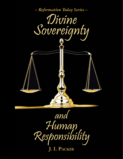

Human<br>Responsibility and **J. I. Packer**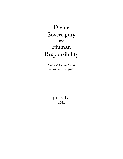# Divine Sovereignty and Human Responsibility

*how both biblical truths coexist in God's grace*

> J. I. Packer 1961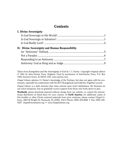## **Contents**

| <b>I. Divine Sovereignty</b>                    |  |
|-------------------------------------------------|--|
|                                                 |  |
|                                                 |  |
|                                                 |  |
| II. Divine Sovereignty and Human Responsibility |  |
|                                                 |  |
|                                                 |  |
|                                                 |  |
|                                                 |  |

Taken from *Evangelism and the Sovereignty of God* by J. I. Packer. Copyright Original edition © 1961 by Inter-Varsity Press, England. Used by permission of InterVarsity Press, P.O. Box 1400, Downers Grove, IL 60515, USA. www.ivpress.com.

Chapel Library admires J.I. Packer's knowledge of the Puritans, but does not agree with his ecumenism, especially his compromise with the ECT (Evangelicals and Catholics Together) accord.

Chapel Library is a faith ministry that relies entirely upon God's faithfulness. We therefore do not solicit donations, but we gratefully receive support from those who freely desire to give.

Worldwide, please download material without charge from our website, or contact the international distributor as listed there for your country. In North America, for additional copies of this booklet or other Christ-centered materials from prior centuries, please contact Chapel Library, 2603 W Wright St, Pensacola, FL 32505 USA • Phone: (850) 438-6666 • Fax: (850) 438 0227 [chapel@mountzion.org](mailto:chapel@mountzion.org) • [www.ChapelLibrary.org](http://www.mountzion.org/)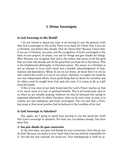## I. Divine Sovereignty

#### <span id="page-3-1"></span><span id="page-3-0"></span>Is God Sovereign in His World?

I do not intend to spend any time at all proving to you the general truth that God is *sovereign* in His world. There is no need; for I know that, if you are a Christian, you believe this already. How do I know that? Because I know that, if you are a Christian, you pray; and the recognition of God's sovereignty is the basis of your prayers. In prayer, you ask for things and give thanks for things. Why? Because you recognize that God is the author and source of all the good that you have had already and all the good that you hope for in the future. This is the fundamental philosophy of Christian prayer. The prayer of a Christian is not an attempt to force God's hand, but a humble acknowledgment of helplessness and dependence. When we are on our knees, we know that it is not we who control the world; it is not in our power, therefore, to supply our needs by our own independent efforts. Every good thing that we desire for ourselves and for others must be sought from God, and will come, if it comes at all, as a gift from His hands.

If this is true even of our daily bread (and the Lord's Prayer teaches us that it is), much more is it true of spiritual benefits. This is all luminously clear to us when we are actually praying, whatever we may be betrayed into saying in argument afterwards. In effect, therefore, what we do every time we pray is to confess our own impotence and God's sovereignty. The very fact that a Christian prays is thus proof positive that he believes in the Lordship of his God.

#### <span id="page-3-2"></span>Is God Sovereign in Salvation?

Nor, again, am I going to spend time proving to you the particular truth that God is sovereign in salvation. For that, too, you believe already. Two facts show this.

## *1. You give thanks for your conversion*

In the first place, you give God thanks for your conversion. Now why do you do that? Because you know in your heart that God was entirely responsible for it. You did not save yourself; He saved you. Your thanksgiving is itself an ac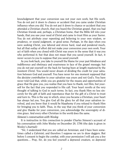knowledgment that your conversion was not your own work, but His work. You do not put it down to chance or accident that you came under Christian influence when you did. You do not put it down to chance or accident that you attended a Christian church, that you heard the Christian gospel, that you had Christian friends and, perhaps, a Christian home, that the Bible fell into your hands, that you saw your need of Christ and came to trust Him as your Savior. You do not attribute your repenting and believing to your own wisdom, or prudence, or sound judgment, or good sense. Perhaps, in the days when you were seeking Christ, you labored and strove hard, read and pondered much, but all that outlay of effort did not make your conversion your own work. Your act of faith when you closed with Christ was yours in the sense that it was you who performed it; but that does not mean that you saved yourself. In fact, it never occurs to you to suppose that you saved yourself.

As you look back, you take to yourself the blame for your past blindness and indifference and obstinacy and evasiveness in face of the gospel message; but you do not pat yourself on the back for having been at length mastered by the insistent Christ. You would never dream of dividing the credit for your salvation between God and yourself. You have never for one moment supposed that the *decisive contribution* to your salvation was yours and not God's. You have never told God that, while you are grateful for the means and opportunities of grace that He gave you, you realize that you have to thank, not Him, but yourself for the fact that you responded to His call. Your heart revolts at the very thought of talking to God in such terms. In fact, you thank Him no less sincerely for the gift of faith and repentance than for the gift of a Christ to trust and turn to. This is the way in which, since you became a Christian, your heart has always led you. You give God all the glory for all that your salvation involved, and you know that it would be blasphemy if you refused to thank Him for bringing you to faith. Thus, in the way that you think of your conversion and give thanks for your conversion, you acknowledge the sovereignty of divine grace. And every other Christian in the world does the same.

#### *Simeon's conversation with Wesley*

It is instructive in this connection to ponder Charles Simeon's account of his conversation with John Wesley on December 20, 1784 (the date is given in Wesley's *Journal):*

"Sir, I understand that you are called an Arminian; and I have been sometimes called a Calvinist; and therefore I suppose we are to draw daggers. But before I consent to begin the combat, with your permission I will ask you a few questions… Pray, Sir, do you feel yourself a depraved creature, so depraved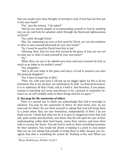that you would never have thought of turning to God, if God had not first put it into your heart?"

"Yes," says the veteran, "I do indeed."

"And do you utterly despair of recommending yourself to God by anything you can do; and look for salvation solely through the blood and righteousness of Christ?"

"Yes, solely through Christ."

"But, Sir, supposing you were at first saved by Christ, are you not somehow or other to save yourself afterwards by your own works?"

"No, I must be saved by Christ from first to last."

"Allowing, then, that you were first turned by the grace of God, are you not in some way or other to keep yourself by your own power?"

"No."

"What, then, are you to be upheld every hour and every moment by God, as much as an infant in its mother's arms?"

"Yes, altogether."

"And is all your hope in the grace and mercy of God to preserve you unto His heavenly kingdom?"

"Yes, I have no hope but in Him."

"Then, Sir, with your leave I will put up my dagger again; for this is all my Calvinism; this is my election, my justification by faith, my final perseverance: it is in substance all that I hold, and as I hold it. And therefore, if you please, instead of searching out terms and phrases to be a ground of contention between us, we will cordially unite in those things wherein we agree."

## *2. You pray for the conversion of others*

There is a second way in which you acknowledge that God is sovereign in salvation. You pray for the conversion of others. In what terms, now, do you intercede for them? Do you limit yourself to asking that God will bring them to a point where they can save themselves, independently of Him? I do not think you do. I think that what you do is to pray in categorical terms that God will, quite simply and decisively, save them: that He will open the eyes of their understanding, soften their hard hearts, renew their natures, and move their wills to receive the Savior. You ask God to work in them everything necessary for their salvation. You would not dream of making it a point in your prayer that you are not asking God actually to bring them to faith, because you recognize that that is something He cannot do. Nothing of the sort! When you

 $\ddot{\phantom{a}}$ 

<span id="page-5-0"></span><sup>1</sup> *Horae Homileticae,* Preface: I.xvii f.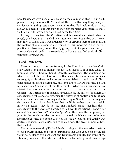pray for unconverted people, you do so on the assumption that it is in God's power to bring them to faith. You entreat Him to do that very thing, and your confidence in asking rests upon the certainty that He is able to do what you ask. And so indeed He is: this conviction, which animates your intercessions, is God's own truth, written on your heart by the Holy Spirit.

In prayer, then (and the Christian is at his sanest and wisest when he prays), you know that it is God who saves men; you *know* that what makes men turn to God is God's own gracious work of drawing them to Himself, and the content of your prayers is determined by this knowledge. Thus, by your practice of intercession, no less than by giving thanks for your conversion, you acknowledge and confess the sovereignty of God's grace. And so do all Christian people everywhere.

## <span id="page-6-0"></span>Is God Really Lord?

There is a long-standing controversy in the Church as to whether God is really *Lord* in relation to human conduct and saving faith or not. What has been said shows us how we should regard this controversy. The situation is not what it seems to be. For it is not true that some Christians believe in divine sovereignty while others hold an opposite view. What is true is that all Christians believe in divine sovereignty, but some are not aware that they do, and mistakenly imagine and insist that they reject it. What causes this odd state of affairs? The root cause is the same as in most cases of error in the Church—the intruding of rationalistic speculations, the passion for systematic consistency, a reluctance to recognize the existence of mystery and to let God be wiser than men, and a consequent subjecting of Scripture to the supposed demands of human logic. People see that the Bible teaches man's responsibility for his actions; they do not see (man, indeed, cannot see) how this is consistent with the sovereign Lordship of God over those actions. *They are not content to let the two truths live side by side,* as they do in the Scriptures, but jump to the conclusion that, in order to uphold the biblical truth of *human responsibility,* they are bound to reject the equally biblical and equally true doctrine of *divine sovereignty,* and to explain away the great number of texts that teach it.

The desire to over-simplify the Bible by cutting out the mysteries is natural to our perverse minds, and it is not surprising that even good men should fall victim to it. Hence this persistent and troublesome dispute. The irony of the situation, however, is that when we ask how the two sides pray, it becomes ap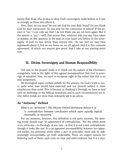parent that those who profess to deny God's sovereignty really believe in it just as strongly as those who affirm it.

How, then, do you pray? Do you ask God for your daily bread? Do you thank God for your conversion? Do you pray for the conversion of others? If the answer is "no," I can only say that I do not think you are yet born again. But if the answer is "yes"—well, that proves that, whatever side you may have taken in debates on this question in the past, in your heart you believe in the sovereignty of God no less firmly than anyone else. On our feet we may have arguments about it, but on our knees we are all agreed. And it is this common agreement, of which our prayers give proof, that I take as our starting point now.

## <span id="page-7-0"></span>II. Divine Sovereignty and Human Responsibility

Our aim in the present study is to think out the nature of the Christian's evangelistic task in the light of this agreed presupposition that God is sovereign in salvation. Now, we need to recognize right at the outset that this is no easy assignment.

All theological topics contain pitfalls for the unwary, for God's truth is never quite what man would have expected; and our present subject is more treacherous than most. This is because in thinking it through we have to deal with an *antinomy* in the biblical revelation, and in such circumstances our finite, fallen minds are more than ordinarily apt to go astray.

## <span id="page-7-1"></span>An "Antinomy" Defined

What is an "antinomy"? *The Shorter Oxford Dictionary* defines it as

*"a contradiction between conclusions which seem equally logical, reasonable, or necessary."*

For our purposes, however, this definition is not quite accurate; the opening words should read "an *appearance* of contradiction." For the whole point of an antinomy—in theology, at any rate—is that it is not a real contradiction, though it looks like one. It is an *apparent* incompatibility between two apparent truths. An antinomy exists when a pair of principles stand side by side, seemingly irreconcilable, yet both undeniable. There are cogent reasons for believing each of them; each rests on clear and solid evidence; but it is a mys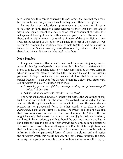tery to you how they can be squared with each other. You see that each must be true on its own, but you do not see how they can both be true together.

Let me give an example. Modern physics faces an antinomy, in this sense, in its study of light. There is cogent evidence to show that light consists of waves, and equally cogent evidence to show that it consists of particles. It is not apparent how light can be both waves and particles; but the evidence is there, and so neither view can be ruled out in favor of the other. Neither, however, can be reduced to the other or explained in terms of the other; the two seemingly incompatible positions must be held together, and both must be treated as true. Such a necessity scandalizes our tidy minds, no doubt, but there is no help for it if we are to be loyal to the facts.

## <span id="page-8-0"></span>Not a Paradox

It appears, therefore, that an antinomy is not the same thing as a *paradox*. A paradox is a figure of speech, a play on words. It is a form of statement that seems to unite two opposite ideas, or to deny something by the very terms in which it is asserted. Many truths about the Christian life can be expressed as paradoxes. A Prayer Book collect, for instance, declares that God's "service is perfect freedom"—man goes free through becoming a slave. Paul states various paradoxes of his own Christian experience:

- *"sorrowful, yet always rejoicing... having nothing, and yet possessing all things" - 2 Cor. 6:10*
- *"when I am weak, then am I strong" - 2 Cor. 12:10.*

The point of a paradox, however, is that what creates the appearance of contradiction is not the facts, but the words. The contradiction is verbal, but not real. A little thought shows how it can be eliminated and the same idea expressed in non-paradoxical form. In other words a paradox is always *dispensable.* Look at the examples quoted. The Prayer Book might have said that those who serve God are free from sin's dominion. In 2 Cor. 6:10 Paul might have said that sorrow at circumstances, and joy in God, are constantly combined in his experience; and that, though he owns no property and has no bank balance, there is a sense in which everything belongs to him, because he is Christ's, and Christ is Lord of all. Again, in 2 Cor. 12:10, he might have said that the Lord strengthens him most when he is most conscious of his natural infirmity. Such non-paradoxical forms of speech are clumsy and dull beside the paradoxes which they would replace, but they express precisely the same meaning. For a paradox is merely a matter of how you use words; the employ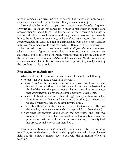ment of paradox is an arresting trick of speech, but it does not imply even an appearance of contradiction in the facts that you are describing.

Also it should be noted that a paradox is always *comprehensible*. A speaker or writer casts his ideas into paradoxes in order to make them memorable and provoke thought about them. But the person at the receiving end must be able, on reflection, to see how to unravel the paradox, otherwise it will seem to him to be really self-contradictory, and therefore really meaningless. An *incomprehensible* paradox could not be distinguished from a mere contradiction in terms. The paradox would thus have to be written off as sheer nonsense.

By contrast, however, an antinomy is neither *dispensable* nor *comprehensible*. It is not a figure of speech, but an observed relation between two statements of fact. It is not deliberately manufactured; it is forced upon us by the facts themselves. It is *unavoidable,* and it is *insoluble.* We do not invent it, and we cannot explain it. Nor is there any way to get rid of it, save by falsifying the very facts that led us to it.

## <span id="page-9-0"></span>Responding to an Antinomy

What should one do, then, with an antinomy? Please note the following.

- Accept it for what it is, and learn to live with it.
- Refuse to regard the apparent inconsistency as real; put down the semblance of contradiction to the deficiency of your own understanding; think of the two principles as, not rival alternatives, but, in some way that at present you do not grasp, complementary to each other.
- Be careful, therefore, not to set them at loggerheads, nor to make deductions from either that would cut across the other (such deductions would, for that very reason, be certainly unsound).
- Use each within the limits of its own sphere of reference (i.e., the area delimited by the evidence from which the principle has been drawn).
- Note what connections exist between the two truths and their two frames of reference, and teach yourself to think of reality in a way that provides for their peaceful coexistence, remembering that reality itself has proved actually to contain them both.

This is how antinomies *must* be handled, whether in nature or in Scripture. This, as I understand it, is how modern physics deals with the problem of light, and this is how Christians have to deal with the antinomies of biblical teaching.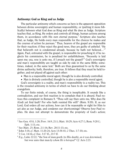## <span id="page-10-0"></span>Antinomy: God as King and as Judge

The particular antinomy which concerns us here is the apparent opposition between divine sovereignty and human responsibility, or (putting it more biblically) between what God does as King and what He does as Judge. Scripture teaches that, as King, He orders and controls all things, human actions among them, in accordance with His own eternal purpose.<sup>[2](#page-10-1)</sup> Scripture also teaches that, as Judge, He holds every man responsible for the choices he makes and the courses of action he pursues.<sup>[3](#page-10-2)</sup> Thus, hearers of the gospel are responsible for their reaction; if they reject the good news, they are guilty of unbelief. "He that believeth not is condemned already, because he hath not believed…"[4](#page-10-3) Again, Paul, entrusted with the gospel, is responsible for preaching it; if he neglects his commission, he is penalized for unfaithfulness. "Necessity is laid upon me; yea, woe is unto me, if I preach not the gospel!"<sup>[5](#page-10-4)</sup> God's sovereignty and man's responsibility are taught us side by side in the same Bible; some-times, indeed, in the same text.<sup>[6](#page-10-5)</sup> Both are thus guaranteed to us by the same divine authority; both, therefore, are true. It follows that they must be held together, and not played off against each other:

- Man is a responsible moral agent, though he is also divinely controlled.
- Man is divinely controlled, though he is also a responsible moral agent.

God's sovereignty is a reality, and man's responsibility is a reality too. This is the revealed antinomy in terms of which we have to do our thinking about evangelism.

To our finite minds, of course, the thing is inexplicable. It sounds like a contradiction, and our first reaction is to complain that it is absurd. Paul notices this complaint in Romans 9. "Thou wilt say then unto me, Why does He (God) yet find fault? For who hath resisted His will?' (Rom. 9:19). If, as our Lord, God orders all our actions, how can it be reasonable or right for Him to act also as our Judge, and condemn our shortcomings? Observe how Paul replies. He does not attempt to demonstrate the propriety of God's action;

 $\overline{a}$ 

<span id="page-10-1"></span><sup>&</sup>lt;sup>2</sup> See Gen. 45:8, 1:20; Prov. 16:9, 21:1; Matt. 10:29; Acts 4:27 f.; Rom. 9:20 f.; Eph. 1:11; etc.

<span id="page-10-2"></span><sup>3</sup> See Matt. 25; Rom. 2:1-16; Rev. 20:11-13; etc.

<span id="page-10-3"></span><sup>4</sup> John 3:18; *cf.* Matt. 11:20-24; Acts 13:38-41; 2 Thes. 1:7-10; etc.

<span id="page-10-4"></span><sup>5</sup> 1 Cor. 14:16; *cf.* Eze. 3:17 ff., 23:7 ff.

<span id="page-10-5"></span><sup>6</sup> *E.g.,* Luke 22:22, "the Son of man goeth (to His death), as *it was determined;*  but woe unto that man *by whom He is betrayed'' Cf.* Acts 2:23.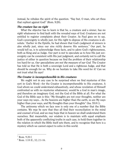instead, he rebukes the spirit of the question. "Nay but, O man, who art thou that repliest against God?' (Rom. 9:20).

## *The creature has no right*

What the objector has to learn is that he, a creature and a sinner, has *no right* whatsoever to find fault with the revealed ways of God. Creatures are not entitled to register complaints about their Creator. As Paul goes on to say, God's sovereignty is wholly just, for His right to dispose of His creatures is ab-solute.<sup>[7](#page-11-0)</sup> Earlier in the Epistle, he had shown that God's judgment of sinners is also wholly just, since our sins richly deserve His sentence.<sup>[8](#page-11-1)</sup> Our part, he would tell us, is to acknowledge these facts, and to adore God's righteousness, both as King and as Judge. Our part is *not* to speculate as to how His just sovereignty can be consistent with His just judgment, and certainly not to call the justice of either in question because we find the problem of their relationship too hard for us. *Our speculations are not the measure of our God.* The Creator has told us that He is both a sovereign Lord and a righteous Judge, and that should be enough for us. Why do we hesitate to take His word for it? Can we not trust what He says?

#### *The Creator is incomprehensible to His creatures*

We ought not in any case to be surprised when we find mysteries of this sort in God's Word—for the Creator is incomprehensible to His creatures. A God whom we could understand exhaustively, and whose revelation of Himself confronted us with no mysteries whatsoever, would be a God in man's image, and therefore an imaginary God, not the God of the Bible at all. For what the God of the Bible says is this: "My thoughts are not your thoughts, neither are your ways my ways... As the heavens are higher than the earth, so are My ways higher than your ways, and My thoughts than your thoughts" (Isa. 55:8 f.).

The antinomy which we face now is only one of a number that the Bible contains. We may be sure that they all find their reconciliation in the mind and counsel of God, and we may hope that in heaven we shall understand them ourselves. But meanwhile, our wisdom is to maintain with equal emphasis both of the apparently conflicting truths in each case, to hold them together in the relation in which the Bible itself sets them, and to recognize that here is a mystery which we cannot expect to solve in this world.

 $\overline{a}$ 

<span id="page-11-0"></span><sup>7</sup> Rom. 9:20 f.

<span id="page-11-1"></span><sup>8</sup> Rom. 1:18 ff., 32; 2:1-16.